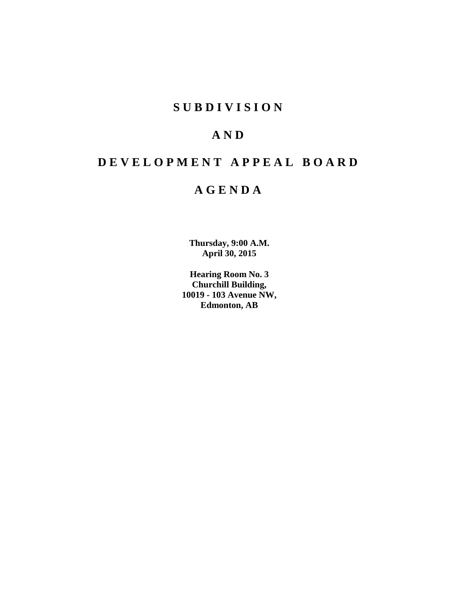## **S U B D I V I S I O N**

## **A N D**

# **D E V E L O P M E N T A P P E A L B O A R D**

## **A G E N D A**

**Thursday, 9:00 A.M. April 30, 2015**

**Hearing Room No. 3 Churchill Building, 10019 - 103 Avenue NW, Edmonton, AB**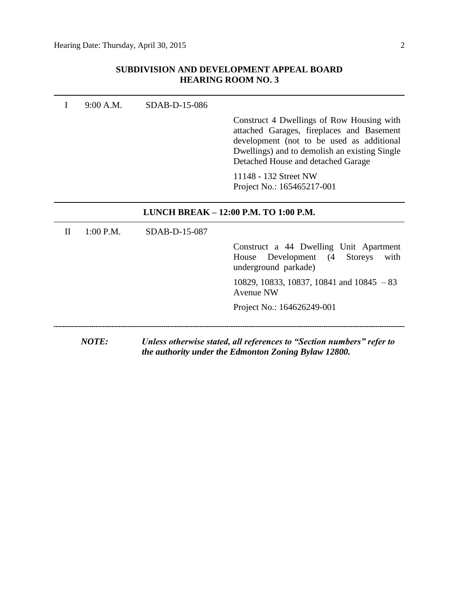## **SUBDIVISION AND DEVELOPMENT APPEAL BOARD HEARING ROOM NO. 3**

|              | 9:00 A.M.    | SDAB-D-15-086 |                                                                                                                                                                                                                            |
|--------------|--------------|---------------|----------------------------------------------------------------------------------------------------------------------------------------------------------------------------------------------------------------------------|
|              |              |               | Construct 4 Dwellings of Row Housing with<br>attached Garages, fireplaces and Basement<br>development (not to be used as additional<br>Dwellings) and to demolish an existing Single<br>Detached House and detached Garage |
|              |              |               | 11148 - 132 Street NW<br>Project No.: 165465217-001                                                                                                                                                                        |
|              |              |               | LUNCH BREAK - 12:00 P.M. TO 1:00 P.M.                                                                                                                                                                                      |
| $\mathbf{H}$ | $1:00$ P.M.  | SDAB-D-15-087 |                                                                                                                                                                                                                            |
|              |              |               | Construct a 44 Dwelling Unit Apartment<br>Development (4<br>House<br><b>Storeys</b><br>with<br>underground parkade)                                                                                                        |
|              |              |               | 10829, 10833, 10837, 10841 and $10845 - 83$<br>Avenue NW                                                                                                                                                                   |
|              |              |               | Project No.: 164626249-001                                                                                                                                                                                                 |
|              | <b>NOTE:</b> |               | Unless otherwise stated, all references to "Section numbers" refer to<br>the authority under the Edmonton Zoning Bylaw 12800.                                                                                              |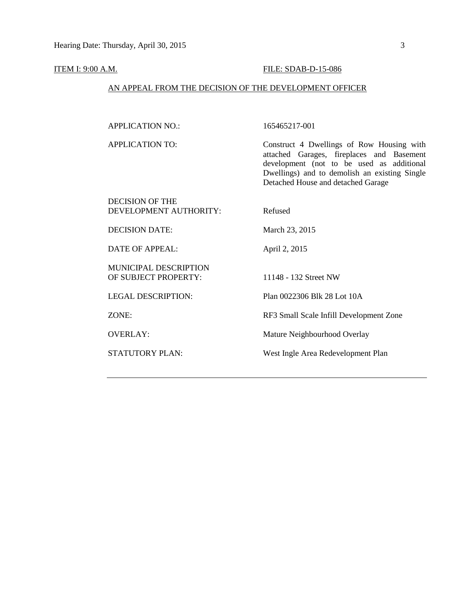#### **ITEM I: 9:00 A.M. FILE: SDAB-D-15-086**

### AN APPEAL FROM THE DECISION OF THE DEVELOPMENT OFFICER

APPLICATION NO.: 165465217-001

APPLICATION TO: Construct 4 Dwellings of Row Housing with attached Garages, fireplaces and Basement development (not to be used as additional Dwellings) and to demolish an existing Single Detached House and detached Garage

| <b>DECISION OF THE</b><br>DEVELOPMENT AUTHORITY: | Refused                                 |
|--------------------------------------------------|-----------------------------------------|
| <b>DECISION DATE:</b>                            | March 23, 2015                          |
| DATE OF APPEAL:                                  | April 2, 2015                           |
| MUNICIPAL DESCRIPTION<br>OF SUBJECT PROPERTY:    | 11148 - 132 Street NW                   |
| LEGAL DESCRIPTION:                               | Plan 0022306 Blk 28 Lot 10A             |
| ZONE:                                            | RF3 Small Scale Infill Development Zone |

OVERLAY: Mature Neighbourhood Overlay

STATUTORY PLAN: West Ingle Area Redevelopment Plan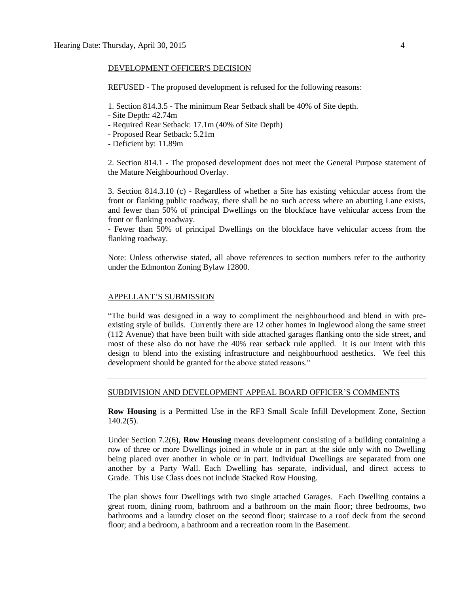#### DEVELOPMENT OFFICER'S DECISION

REFUSED - The proposed development is refused for the following reasons:

1. Section 814.3.5 - The minimum Rear Setback shall be 40% of Site depth.

- Site Depth: 42.74m
- Required Rear Setback: 17.1m (40% of Site Depth)
- Proposed Rear Setback: 5.21m
- Deficient by: 11.89m

2. Section 814.1 - The proposed development does not meet the General Purpose statement of the Mature Neighbourhood Overlay.

3. Section 814.3.10 (c) - Regardless of whether a Site has existing vehicular access from the front or flanking public roadway, there shall be no such access where an abutting Lane exists, and fewer than 50% of principal Dwellings on the blockface have vehicular access from the front or flanking roadway.

- Fewer than 50% of principal Dwellings on the blockface have vehicular access from the flanking roadway.

Note: Unless otherwise stated, all above references to section numbers refer to the authority under the Edmonton Zoning Bylaw 12800.

#### APPELLANT'S SUBMISSION

"The build was designed in a way to compliment the neighbourhood and blend in with preexisting style of builds. Currently there are 12 other homes in Inglewood along the same street (112 Avenue) that have been built with side attached garages flanking onto the side street, and most of these also do not have the 40% rear setback rule applied. It is our intent with this design to blend into the existing infrastructure and neighbourhood aesthetics. We feel this development should be granted for the above stated reasons."

#### SUBDIVISION AND DEVELOPMENT APPEAL BOARD OFFICER'S COMMENTS

**Row Housing** is a Permitted Use in the RF3 Small Scale Infill Development Zone, Section 140.2(5).

Under Section 7.2(6), **Row Housing** means development consisting of a building containing a row of three or more Dwellings joined in whole or in part at the side only with no Dwelling being placed over another in whole or in part. Individual Dwellings are separated from one another by a Party Wall. Each Dwelling has separate, individual, and direct access to Grade. This Use Class does not include Stacked Row Housing.

The plan shows four Dwellings with two single attached Garages. Each Dwelling contains a great room, dining room, bathroom and a bathroom on the main floor; three bedrooms, two bathrooms and a laundry closet on the second floor; staircase to a roof deck from the second floor; and a bedroom, a bathroom and a recreation room in the Basement.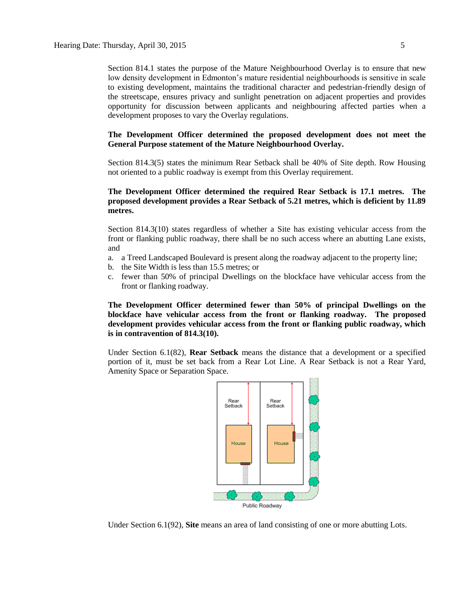Section 814.1 states the purpose of the Mature Neighbourhood Overlay is to ensure that new low density development in Edmonton's mature residential neighbourhoods is sensitive in scale to existing development, maintains the traditional character and pedestrian-friendly design of the streetscape, ensures privacy and sunlight penetration on adjacent properties and provides opportunity for discussion between applicants and neighbouring affected parties when a development proposes to vary the Overlay regulations.

#### **The Development Officer determined the proposed development does not meet the General Purpose statement of the Mature Neighbourhood Overlay.**

Section 814.3(5) states the minimum Rear Setback shall be 40% of Site depth. Row Housing not oriented to a public roadway is exempt from this Overlay requirement.

#### **The Development Officer determined the required Rear Setback is 17.1 metres. The proposed development provides a Rear Setback of 5.21 metres, which is deficient by 11.89 metres.**

Section 814.3(10) states regardless of whether a Site has existing vehicular access from the front or flanking public roadway, there shall be no such access where an abutting Lane exists, and

- a. a Treed Landscaped Boulevard is present along the roadway adjacent to the property line;
- b. the Site Width is less than 15.5 metres; or
- c. fewer than 50% of principal Dwellings on the blockface have vehicular access from the front or flanking roadway.

**The Development Officer determined fewer than 50% of principal Dwellings on the blockface have vehicular access from the front or flanking roadway. The proposed development provides vehicular access from the front or flanking public roadway, which is in contravention of 814.3(10).**

Under Section 6.1(82), **Rear Setback** means the distance that a development or a specified portion of it, must be set back from a Rear Lot Line. A Rear Setback is not a Rear Yard, Amenity Space or Separation Space.



Under Section 6.1(92), **Site** means an area of land consisting of one or more abutting Lots.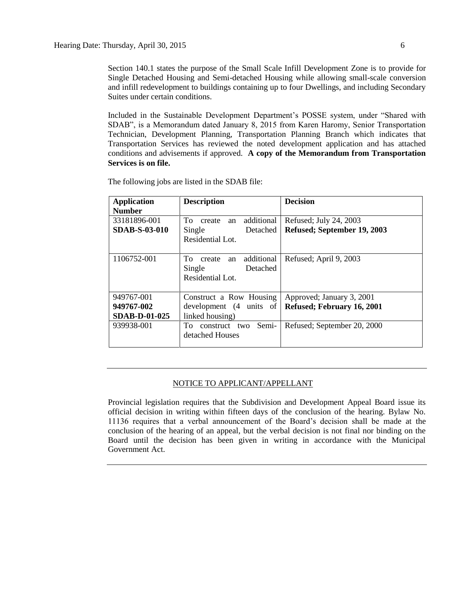Section 140.1 states the purpose of the Small Scale Infill Development Zone is to provide for Single Detached Housing and Semi-detached Housing while allowing small-scale conversion and infill redevelopment to buildings containing up to four Dwellings, and including Secondary Suites under certain conditions.

Included in the Sustainable Development Department's POSSE system, under "Shared with SDAB", is a Memorandum dated January 8, 2015 from Karen Haromy, Senior Transportation Technician, Development Planning, Transportation Planning Branch which indicates that Transportation Services has reviewed the noted development application and has attached conditions and advisements if approved. **A copy of the Memorandum from Transportation Services is on file.**

| <b>Application</b><br><b>Number</b> | <b>Description</b>                                                         | <b>Decision</b>             |
|-------------------------------------|----------------------------------------------------------------------------|-----------------------------|
| 33181896-001                        | additional<br>To.<br>create an                                             | Refused; July 24, 2003      |
| <b>SDAB-S-03-010</b>                | Single<br>Detached<br>Residential Lot.                                     | Refused; September 19, 2003 |
| 1106752-001                         | additional<br>To<br>create<br>an<br>Detached<br>Single<br>Residential Lot. | Refused; April 9, 2003      |
| 949767-001                          | Construct a Row Housing                                                    | Approved; January 3, 2001   |
| 949767-002                          | development (4 units of                                                    | Refused; February 16, 2001  |
| <b>SDAB-D-01-025</b>                | linked housing)                                                            |                             |
| 939938-001                          | To construct two<br>Semi-<br>detached Houses                               | Refused; September 20, 2000 |

The following jobs are listed in the SDAB file:

#### NOTICE TO APPLICANT/APPELLANT

Provincial legislation requires that the Subdivision and Development Appeal Board issue its official decision in writing within fifteen days of the conclusion of the hearing. Bylaw No. 11136 requires that a verbal announcement of the Board's decision shall be made at the conclusion of the hearing of an appeal, but the verbal decision is not final nor binding on the Board until the decision has been given in writing in accordance with the Municipal Government Act.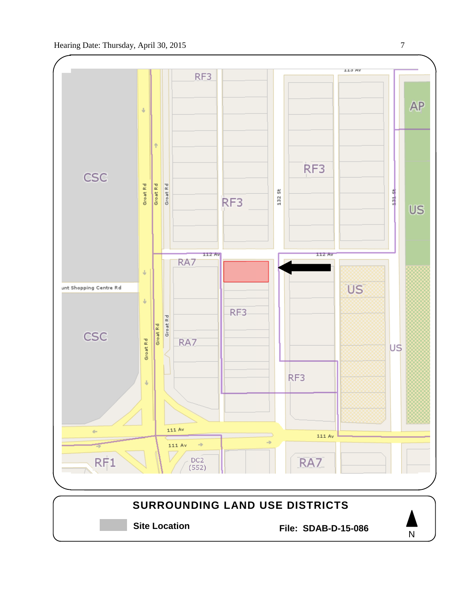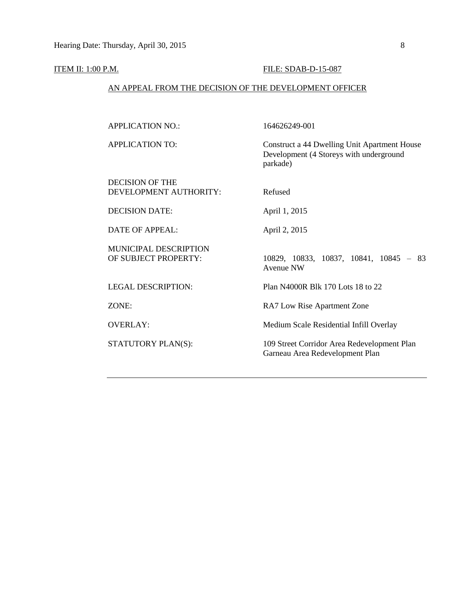#### **ITEM II: 1:00 P.M. FILE: SDAB-D-15-087**

#### AN APPEAL FROM THE DECISION OF THE DEVELOPMENT OFFICER

APPLICATION NO.: 164626249-001

APPLICATION TO: Construct a 44 Dwelling Unit Apartment House

DECISION OF THE DEVELOPMENT AUTHORITY: Refused

Development (4 Storeys with underground parkade)

DECISION DATE: April 1, 2015

DATE OF APPEAL: April 2, 2015

OF SUBJECT PROPERTY: 10829, 10833, 10837, 10841, 10845 - 83 Avenue NW

MUNICIPAL DESCRIPTION

LEGAL DESCRIPTION: Plan N4000R Blk 170 Lots 18 to 22

ZONE: RA7 Low Rise Apartment Zone

OVERLAY: Medium Scale Residential Infill Overlay

STATUTORY PLAN(S): 109 Street Corridor Area Redevelopment Plan Garneau Area Redevelopment Plan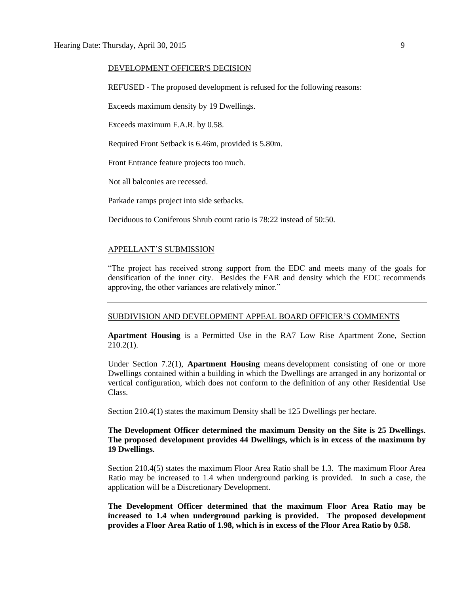#### DEVELOPMENT OFFICER'S DECISION

REFUSED - The proposed development is refused for the following reasons:

Exceeds maximum density by 19 Dwellings.

Exceeds maximum F.A.R. by 0.58.

Required Front Setback is 6.46m, provided is 5.80m.

Front Entrance feature projects too much.

Not all balconies are recessed.

Parkade ramps project into side setbacks.

Deciduous to Coniferous Shrub count ratio is 78:22 instead of 50:50.

#### APPELLANT'S SUBMISSION

"The project has received strong support from the EDC and meets many of the goals for densification of the inner city. Besides the FAR and density which the EDC recommends approving, the other variances are relatively minor."

#### SUBDIVISION AND DEVELOPMENT APPEAL BOARD OFFICER'S COMMENTS

**Apartment Housing** is a Permitted Use in the RA7 Low Rise Apartment Zone, Section 210.2(1).

Under Section 7.2(1), **Apartment Housing** means development consisting of one or more Dwellings contained within a building in which the Dwellings are arranged in any horizontal or vertical configuration, which does not conform to the definition of any other Residential Use Class.

Section 210.4(1) states the maximum Density shall be 125 Dwellings per hectare.

#### **The Development Officer determined the maximum Density on the Site is 25 Dwellings. The proposed development provides 44 Dwellings, which is in excess of the maximum by 19 Dwellings.**

Section 210.4(5) states the maximum Floor Area Ratio shall be 1.3. The maximum Floor Area Ratio may be increased to 1.4 when underground parking is provided. In such a case, the application will be a Discretionary Development.

**The Development Officer determined that the maximum Floor Area Ratio may be increased to 1.4 when underground parking is provided. The proposed development provides a Floor Area Ratio of 1.98, which is in excess of the Floor Area Ratio by 0.58.**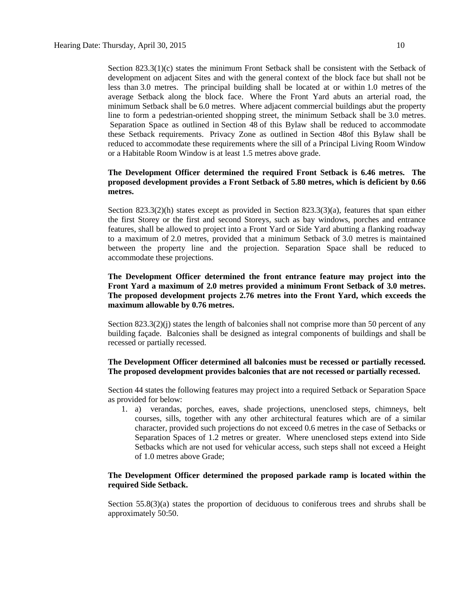Section 823.3(1)(c) states the minimum Front Setback shall be consistent with the Setback of development on adjacent Sites and with the general context of the block face but shall not be less than [3.0 me](javascript:void(0);)tres. The principal building shall be located at or within [1.0 me](javascript:void(0);)tres of the average Setback along the block face. Where the Front Yard abuts an arterial road, the minimum Setback shall be [6.0 metres.](javascript:void(0);) Where adjacent commercial buildings abut the property line to form a pedestrian-oriented shopping street, the minimum Setback shall be [3.0 me](javascript:void(0);)tres. Separation Space as outlined in [Section 48](http://webdocs.edmonton.ca/zoningbylaw/ZoningBylaw/Part1/Development/48__Separation_Space.htm) of this Bylaw shall be reduced to accommodate these Setback requirements. Privacy Zone as outlined in [Section 48o](http://webdocs.edmonton.ca/zoningbylaw/ZoningBylaw/Part1/Development/48__Separation_Space.htm)f this Bylaw shall be reduced to accommodate these requirements where the sill of a Principal Living Room Window or a Habitable Room Window is at least [1.5 me](javascript:void(0);)tres above grade.

### **The Development Officer determined the required Front Setback is 6.46 metres. The proposed development provides a Front Setback of 5.80 metres, which is deficient by 0.66 metres.**

Section 823.3(2)(h) states except as provided in Section 823.3(3)(a), features that span either the first Storey or the first and second Storeys, such as bay windows, porches and entrance features, shall be allowed to project into a Front Yard or Side Yard abutting a flanking roadway to a maximum of [2.0 me](javascript:void(0);)tres, provided that a minimum Setback of [3.0 me](javascript:void(0);)tres is maintained between the property line and the projection. Separation Space shall be reduced to accommodate these projections.

#### **The Development Officer determined the front entrance feature may project into the Front Yard a maximum of 2.0 metres provided a minimum Front Setback of 3.0 metres. The proposed development projects 2.76 metres into the Front Yard, which exceeds the maximum allowable by 0.76 metres.**

Section 823.3(2)(j) states the length of balconies shall not comprise more than 50 percent of any building façade. Balconies shall be designed as integral components of buildings and shall be recessed or partially recessed.

#### **The Development Officer determined all balconies must be recessed or partially recessed. The proposed development provides balconies that are not recessed or partially recessed.**

Section 44 states the following features may project into a required Setback or Separation Space as provided for below:

1. a) verandas, porches, eaves, shade projections, unenclosed steps, chimneys, belt courses, sills, together with any other architectural features which are of a similar character, provided such projections do not exceed 0.6 metres in the case of Setbacks or Separation Spaces of 1.2 metres or greater. Where unenclosed steps extend into Side Setbacks which are not used for vehicular access, such steps shall not exceed a Height of 1.0 metres above Grade;

#### **The Development Officer determined the proposed parkade ramp is located within the required Side Setback.**

Section 55.8(3)(a) states the proportion of deciduous to coniferous trees and shrubs shall be approximately 50:50.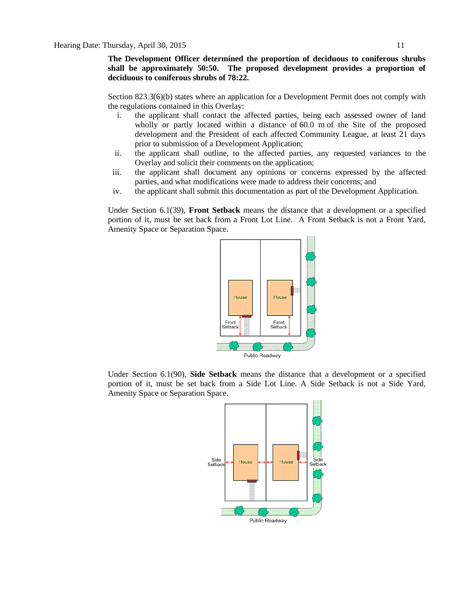**The Development Officer determined the proportion of deciduous to coniferous shrubs shall be approximately 50:50. The proposed development provides a proportion of deciduous to coniferous shrubs of 78:22.**

Section 823.3(6)(b) states where an application for a Development Permit does not comply with the regulations contained in this Overlay:

- i. the applicant shall contact the affected parties, being each assessed owner of land wholly or partly located within a distance of [60.0 m](javascript:void(0);) of the Site of the proposed development and the President of each affected Community League, at least 21 days prior to submission of a Development Application;
- ii. the applicant shall outline, to the affected parties, any requested variances to the Overlay and solicit their comments on the application;
- iii. the applicant shall document any opinions or concerns expressed by the affected parties, and what modifications were made to address their concerns; and
- iv. the applicant shall submit this documentation as part of the Development Application.

Under Section 6.1(39), **Front Setback** means the distance that a development or a specified portion of it, must be set back from a Front Lot Line. A Front Setback is not a Front Yard, Amenity Space or Separation Space.



Under Section 6.1(90), **Side Setback** means the distance that a development or a specified portion of it, must be set back from a Side Lot Line. A Side Setback is not a Side Yard, Amenity Space or Separation Space.

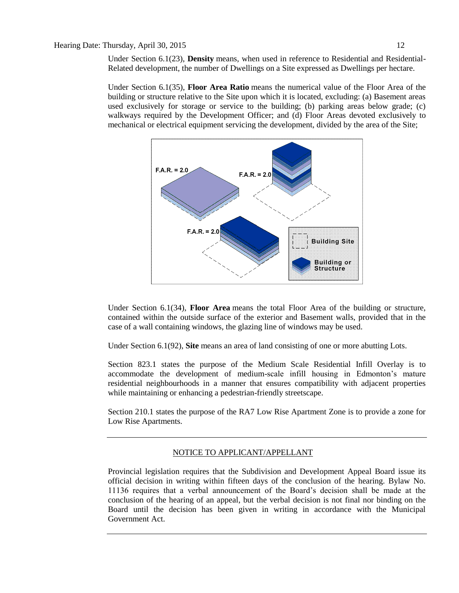Under Section 6.1(23), **Density** means, when used in reference to Residential and Residential-Related development, the number of Dwellings on a Site expressed as Dwellings per hectare.

Under Section 6.1(35), **Floor Area Ratio** means the numerical value of the Floor Area of the building or structure relative to the Site upon which it is located, excluding: (a) Basement areas used exclusively for storage or service to the building; (b) parking areas below grade; (c) walkways required by the Development Officer; and (d) Floor Areas devoted exclusively to mechanical or electrical equipment servicing the development, divided by the area of the Site;



Under Section 6.1(34), **Floor Area** means the total Floor Area of the building or structure, contained within the outside surface of the exterior and Basement walls, provided that in the case of a wall containing windows, the glazing line of windows may be used.

Under Section 6.1(92), **Site** means an area of land consisting of one or more abutting Lots.

Section 823.1 states the purpose of the Medium Scale Residential Infill Overlay is to accommodate the development of medium-scale infill housing in Edmonton's mature residential neighbourhoods in a manner that ensures compatibility with adjacent properties while maintaining or enhancing a pedestrian-friendly streetscape.

Section 210.1 states the purpose of the RA7 Low Rise Apartment Zone is to provide a zone for Low Rise Apartments.

#### NOTICE TO APPLICANT/APPELLANT

Provincial legislation requires that the Subdivision and Development Appeal Board issue its official decision in writing within fifteen days of the conclusion of the hearing. Bylaw No. 11136 requires that a verbal announcement of the Board's decision shall be made at the conclusion of the hearing of an appeal, but the verbal decision is not final nor binding on the Board until the decision has been given in writing in accordance with the Municipal Government Act.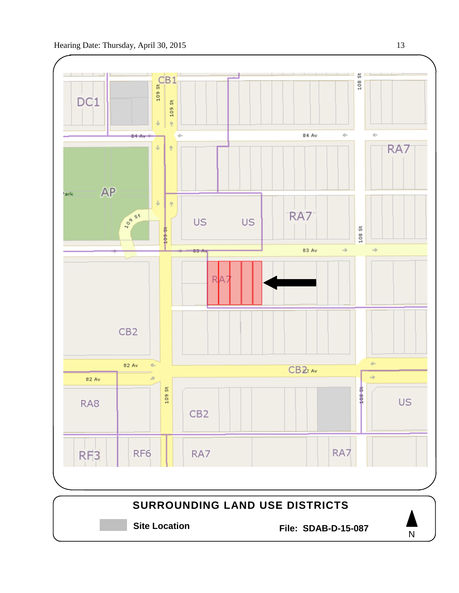